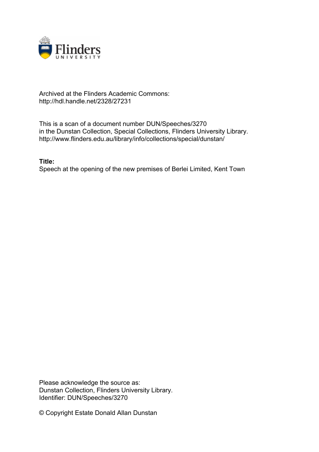

## Archived at the Flinders Academic Commons: http://hdl.handle.net/2328/27231

This is a scan of a document number DUN/Speeches/3270 in the Dunstan Collection, Special Collections, Flinders University Library. http://www.flinders.edu.au/library/info/collections/special/dunstan/

**Title:**

Speech at the opening of the new premises of Berlei Limited, Kent Town

Please acknowledge the source as: Dunstan Collection, Flinders University Library. Identifier: DUN/Speeches/3270

© Copyright Estate Donald Allan Dunstan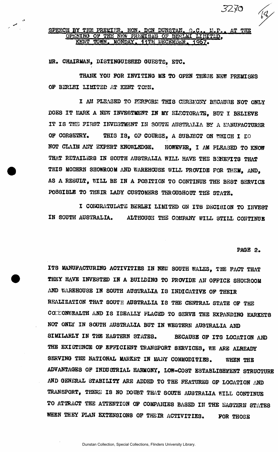## SPEECH BY THE PREMIER. HON. DON DUNSTAN. G.C.. M.P., AT THE OPENING OF THE NEW PREMISES OF BERLKI LINITED, KENT TOWN. MONDAY. 11TH DECEMBER. 1967.

**MR. CHAIRMAN, DISTINGUISHED GUESTS, ETC.** 

THANK YOU FOR INVITING MB TO OPEN THESE NEW PREMISES OF BERLEI LIMITED AT KENT TOWN.

I AH PLEASED TO PERFORM THIS CEREMONY BECAUSE NOT ONLY DOES IT KARK A NEW INVESTMENT IN MY ELECTORATE, BUT I BELIEVE IT IS THE FIRST INVESTMENT IN SOUTH AUSTRALIA BY A MANUFACTURER OF CORSETRY. THIS IS, OF COURSE, A SUBJECT ON WHICH I DO NOT CLAIM ANY EXPERT KNOWLEDGE. HOWEVER, I AM PLEASED TO KNOW THAT RETAILERS IN SOUTH AUSTRALIA WILL HAVE THE BENEFITS THAT THIS MODERN SHOWROOM AND WAREHOUSE WILL PROVIDE FOR THEM, AND, AS A RESULT, MLL BE IN A POSITION TO CONTINUE THE BEST SERVICE POSSIBLE TO THEIR LADY CUSTOMERS THROUGHOUT THE STATE,

I CONGRATULATE BBRLSI LIMITED ON ITS D3CI8I0N TO INVEST IN SOOTH AUSTRALIA. ALTHOUGH THE COMPANY WILL STILL CONTINUE

## **PAGE 2.**

ITS MANUFACTURING ACTIVITIES IN NEW SOUTH WALES, THE FACT THAT THEY HAVE INVESTED IN A BUILDING TO PROVIDE AN OFFICE SHOWROOM AND WAREHOUSE IN SOUTH AUSTRALIA IS INDICATIVE OF THEIR REALIZATION THAT SOUTH AUSTRALIA IS THE CENTRAL STATE OF THE COMENTE AND IS IDEALLY PLACED TO SERVE THE EXPANDING EARKETS NOT ONLY IN SOUTH AUSTRALIA BUT IN WESTERN AUSTRALIA AND SIMILARLY IN THE EASTERN STATES. BECAUSE OF ITS LOCATION AND THB EXISTENCE OF EFFICIENT TRANSPORT SERVICES, WE ARE ALREADY SERVING THE NATIONAL MARKET IN MANY COMMODITIES. WHEN THE ADVANTAGES OF INDUSTRIAL HARMONY, LOW-COST ESTABLISHMENT STRUCTURE AND GENERAL STABILITY ARE ADDED TO THE FEATURES OF LOCATION AND TRANSPORT, THERE IS NO DOUBT THAT SOUTH AUSTRALIA WILL CONTINUE TO ATTRACT THE ATTENTION OF COMPANIES BASED IN THE EASTERN STATES WHEN THEY PLAN EXTENSIONS OF THEIR ACTIVITIES. FOR THOSE